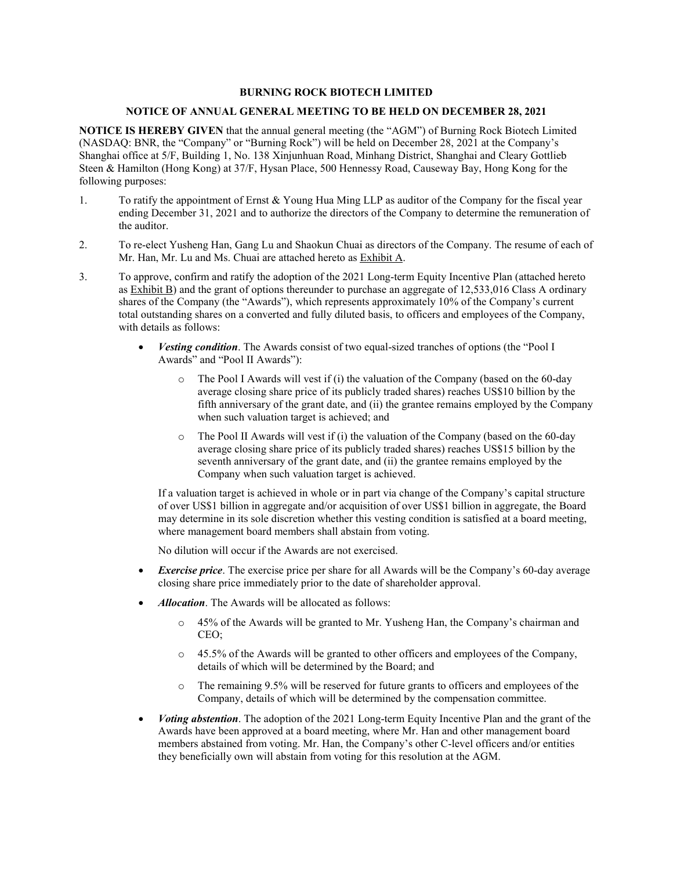#### **BURNING ROCK BIOTECH LIMITED**

#### **NOTICE OF ANNUAL GENERAL MEETING TO BE HELD ON DECEMBER 28, 2021**

**NOTICE IS HEREBY GIVEN** that the annual general meeting (the "AGM") of Burning Rock Biotech Limited (NASDAQ: BNR, the "Company" or "Burning Rock") will be held on December 28, 2021 at the Company's Shanghai office at 5/F, Building 1, No. 138 Xinjunhuan Road, Minhang District, Shanghai and Cleary Gottlieb Steen & Hamilton (Hong Kong) at 37/F, Hysan Place, 500 Hennessy Road, Causeway Bay, Hong Kong for the following purposes:

- 1. To ratify the appointment of Ernst & Young Hua Ming LLP as auditor of the Company for the fiscal year ending December 31, 2021 and to authorize the directors of the Company to determine the remuneration of the auditor.
- 2. To re-elect Yusheng Han, Gang Lu and Shaokun Chuai as directors of the Company. The resume of each of Mr. Han, Mr. Lu and Ms. Chuai are attached hereto as Exhibit A.
- 3. To approve, confirm and ratify the adoption of the 2021 Long-term Equity Incentive Plan (attached hereto as Exhibit B) and the grant of options thereunder to purchase an aggregate of 12,533,016 Class A ordinary shares of the Company (the "Awards"), which represents approximately 10% of the Company's current total outstanding shares on a converted and fully diluted basis, to officers and employees of the Company, with details as follows:
	- *Vesting condition*. The Awards consist of two equal-sized tranches of options (the "Pool I Awards" and "Pool II Awards"):
		- $\circ$  The Pool I Awards will vest if (i) the valuation of the Company (based on the 60-day average closing share price of its publicly traded shares) reaches US\$10 billion by the fifth anniversary of the grant date, and (ii) the grantee remains employed by the Company when such valuation target is achieved; and
		- $\circ$  The Pool II Awards will vest if (i) the valuation of the Company (based on the 60-day average closing share price of its publicly traded shares) reaches US\$15 billion by the seventh anniversary of the grant date, and (ii) the grantee remains employed by the Company when such valuation target is achieved.

If a valuation target is achieved in whole or in part via change of the Company's capital structure of over US\$1 billion in aggregate and/or acquisition of over US\$1 billion in aggregate, the Board may determine in its sole discretion whether this vesting condition is satisfied at a board meeting, where management board members shall abstain from voting.

No dilution will occur if the Awards are not exercised.

- *Exercise price*. The exercise price per share for all Awards will be the Company's 60-day average closing share price immediately prior to the date of shareholder approval.
- *Allocation*. The Awards will be allocated as follows:
	- o 45% of the Awards will be granted to Mr. Yusheng Han, the Company's chairman and CEO;
	- $\circ$  45.5% of the Awards will be granted to other officers and employees of the Company, details of which will be determined by the Board; and
	- o The remaining 9.5% will be reserved for future grants to officers and employees of the Company, details of which will be determined by the compensation committee.
- *Voting abstention*. The adoption of the 2021 Long-term Equity Incentive Plan and the grant of the Awards have been approved at a board meeting, where Mr. Han and other management board members abstained from voting. Mr. Han, the Company's other C-level officers and/or entities they beneficially own will abstain from voting for this resolution at the AGM.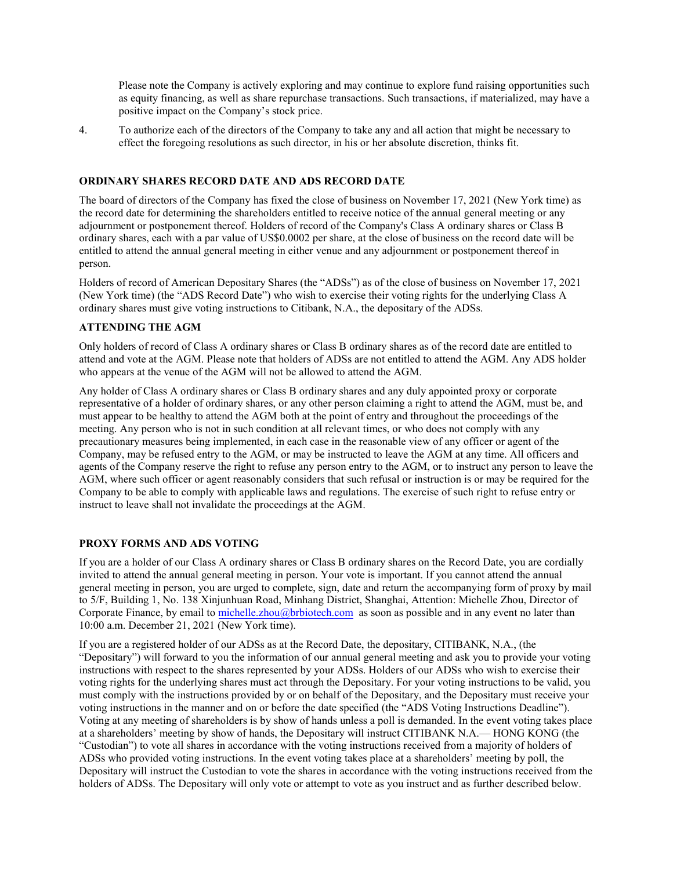Please note the Company is actively exploring and may continue to explore fund raising opportunities such as equity financing, as well as share repurchase transactions. Such transactions, if materialized, may have a positive impact on the Company's stock price.

4. To authorize each of the directors of the Company to take any and all action that might be necessary to effect the foregoing resolutions as such director, in his or her absolute discretion, thinks fit.

#### **ORDINARY SHARES RECORD DATE AND ADS RECORD DATE**

The board of directors of the Company has fixed the close of business on November 17, 2021 (New York time) as the record date for determining the shareholders entitled to receive notice of the annual general meeting or any adjournment or postponement thereof. Holders of record of the Company's Class A ordinary shares or Class B ordinary shares, each with a par value of US\$0.0002 per share, at the close of business on the record date will be entitled to attend the annual general meeting in either venue and any adjournment or postponement thereof in person.

Holders of record of American Depositary Shares (the "ADSs") as of the close of business on November 17, 2021 (New York time) (the "ADS Record Date") who wish to exercise their voting rights for the underlying Class A ordinary shares must give voting instructions to Citibank, N.A., the depositary of the ADSs.

#### **ATTENDING THE AGM**

Only holders of record of Class A ordinary shares or Class B ordinary shares as of the record date are entitled to attend and vote at the AGM. Please note that holders of ADSs are not entitled to attend the AGM. Any ADS holder who appears at the venue of the AGM will not be allowed to attend the AGM.

Any holder of Class A ordinary shares or Class B ordinary shares and any duly appointed proxy or corporate representative of a holder of ordinary shares, or any other person claiming a right to attend the AGM, must be, and must appear to be healthy to attend the AGM both at the point of entry and throughout the proceedings of the meeting. Any person who is not in such condition at all relevant times, or who does not comply with any precautionary measures being implemented, in each case in the reasonable view of any officer or agent of the Company, may be refused entry to the AGM, or may be instructed to leave the AGM at any time. All officers and agents of the Company reserve the right to refuse any person entry to the AGM, or to instruct any person to leave the AGM, where such officer or agent reasonably considers that such refusal or instruction is or may be required for the Company to be able to comply with applicable laws and regulations. The exercise of such right to refuse entry or instruct to leave shall not invalidate the proceedings at the AGM.

#### **PROXY FORMS AND ADS VOTING**

If you are a holder of our Class A ordinary shares or Class B ordinary shares on the Record Date, you are cordially invited to attend the annual general meeting in person. Your vote is important. If you cannot attend the annual general meeting in person, you are urged to complete, sign, date and return the accompanying form of proxy by mail to 5/F, Building 1, No. 138 Xinjunhuan Road, Minhang District, Shanghai, Attention: Michelle Zhou, Director of Corporate Finance, by email to [michelle.zhou@brbiotech.com](mailto:michelle.zhou@brbiotech.com) as soon as possible and in any event no later than 10:00 a.m. December 21, 2021 (New York time).

If you are a registered holder of our ADSs as at the Record Date, the depositary, CITIBANK, N.A., (the "Depositary") will forward to you the information of our annual general meeting and ask you to provide your voting instructions with respect to the shares represented by your ADSs. Holders of our ADSs who wish to exercise their voting rights for the underlying shares must act through the Depositary. For your voting instructions to be valid, you must comply with the instructions provided by or on behalf of the Depositary, and the Depositary must receive your voting instructions in the manner and on or before the date specified (the "ADS Voting Instructions Deadline"). Voting at any meeting of shareholders is by show of hands unless a poll is demanded. In the event voting takes place at a shareholders' meeting by show of hands, the Depositary will instruct CITIBANK N.A.— HONG KONG (the "Custodian") to vote all shares in accordance with the voting instructions received from a majority of holders of ADSs who provided voting instructions. In the event voting takes place at a shareholders' meeting by poll, the Depositary will instruct the Custodian to vote the shares in accordance with the voting instructions received from the holders of ADSs. The Depositary will only vote or attempt to vote as you instruct and as further described below.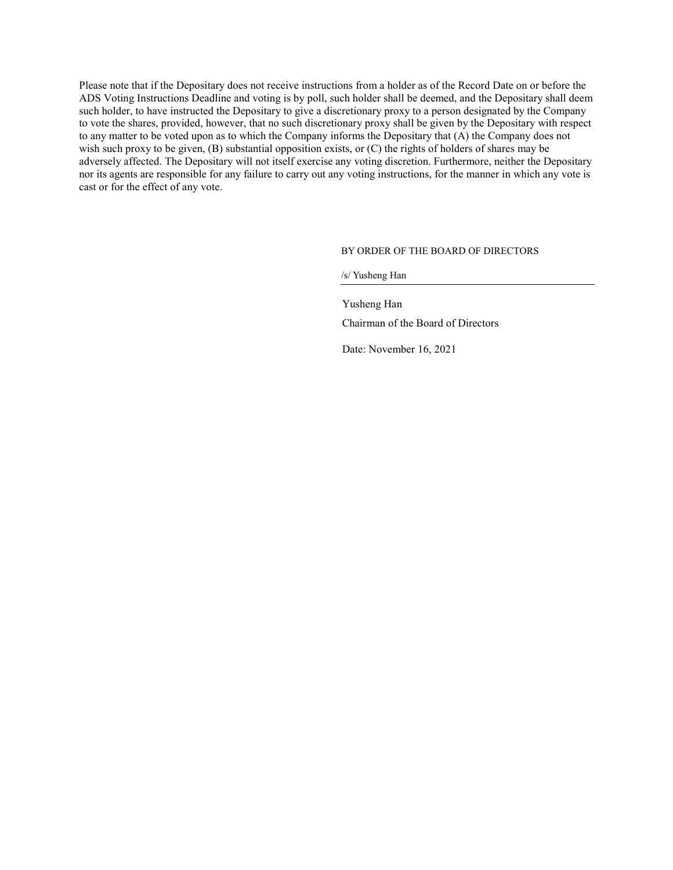Please note that if the Depositary does not receive instructions from a holder as of the Record Date on or before the ADS Voting Instructions Deadline and voting is by poll, such holder shall be deemed, and the Depositary shall deem such holder, to have instructed the Depositary to give a discretionary proxy to a person designated by the Company to vote the shares, provided, however, that no such discretionary proxy shall be given by the Depositary with respect to any matter to be voted upon as to which the Company informs the Depositary that (A) the Company does not wish such proxy to be given, (B) substantial opposition exists, or (C) the rights of holders of shares may be adversely affected. The Depositary will not itself exercise any voting discretion. Furthermore, neither the Depositary nor its agents are responsible for any failure to carry out any voting instructions, for the manner in which any vote is cast or for the effect of any vote.

#### BY ORDER OF THE BOARD OF DIRECTORS

/s/ Yusheng Han

Yusheng Han Chairman of the Board of Directors

Date: November 16, 2021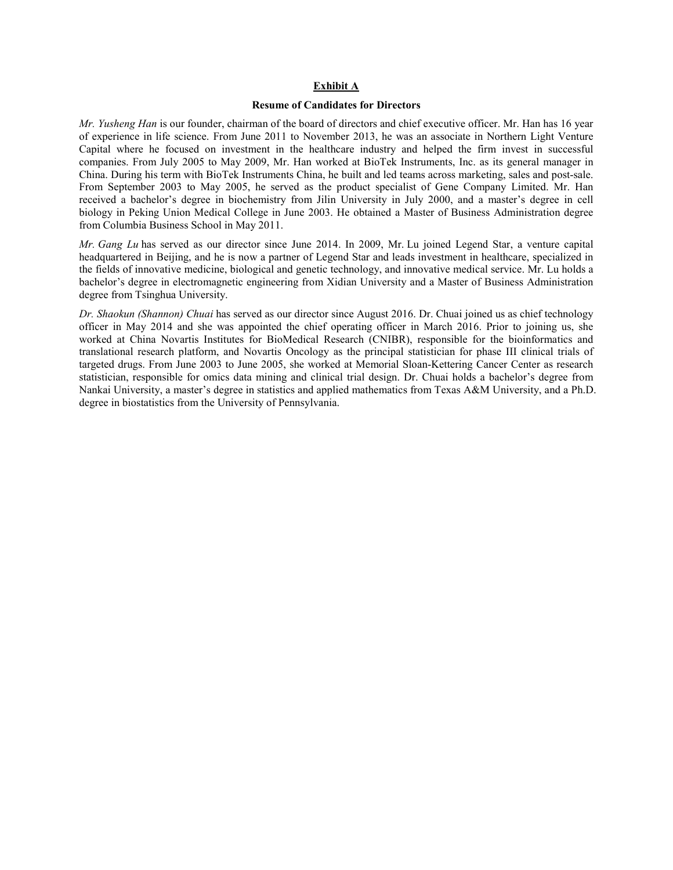#### **Exhibit A**

#### **Resume of Candidates for Directors**

*Mr. Yusheng Han* is our founder, chairman of the board of directors and chief executive officer. Mr. Han has 16 year of experience in life science. From June 2011 to November 2013, he was an associate in Northern Light Venture Capital where he focused on investment in the healthcare industry and helped the firm invest in successful companies. From July 2005 to May 2009, Mr. Han worked at BioTek Instruments, Inc. as its general manager in China. During his term with BioTek Instruments China, he built and led teams across marketing, sales and post-sale. From September 2003 to May 2005, he served as the product specialist of Gene Company Limited. Mr. Han received a bachelor's degree in biochemistry from Jilin University in July 2000, and a master's degree in cell biology in Peking Union Medical College in June 2003. He obtained a Master of Business Administration degree from Columbia Business School in May 2011.

*Mr. Gang Lu* has served as our director since June 2014. In 2009, Mr. Lu joined Legend Star, a venture capital headquartered in Beijing, and he is now a partner of Legend Star and leads investment in healthcare, specialized in the fields of innovative medicine, biological and genetic technology, and innovative medical service. Mr. Lu holds a bachelor's degree in electromagnetic engineering from Xidian University and a Master of Business Administration degree from Tsinghua University.

*Dr. Shaokun (Shannon) Chuai* has served as our director since August 2016. Dr. Chuai joined us as chief technology officer in May 2014 and she was appointed the chief operating officer in March 2016. Prior to joining us, she worked at China Novartis Institutes for BioMedical Research (CNIBR), responsible for the bioinformatics and translational research platform, and Novartis Oncology as the principal statistician for phase III clinical trials of targeted drugs. From June 2003 to June 2005, she worked at Memorial Sloan-Kettering Cancer Center as research statistician, responsible for omics data mining and clinical trial design. Dr. Chuai holds a bachelor's degree from Nankai University, a master's degree in statistics and applied mathematics from Texas A&M University, and a Ph.D. degree in biostatistics from the University of Pennsylvania.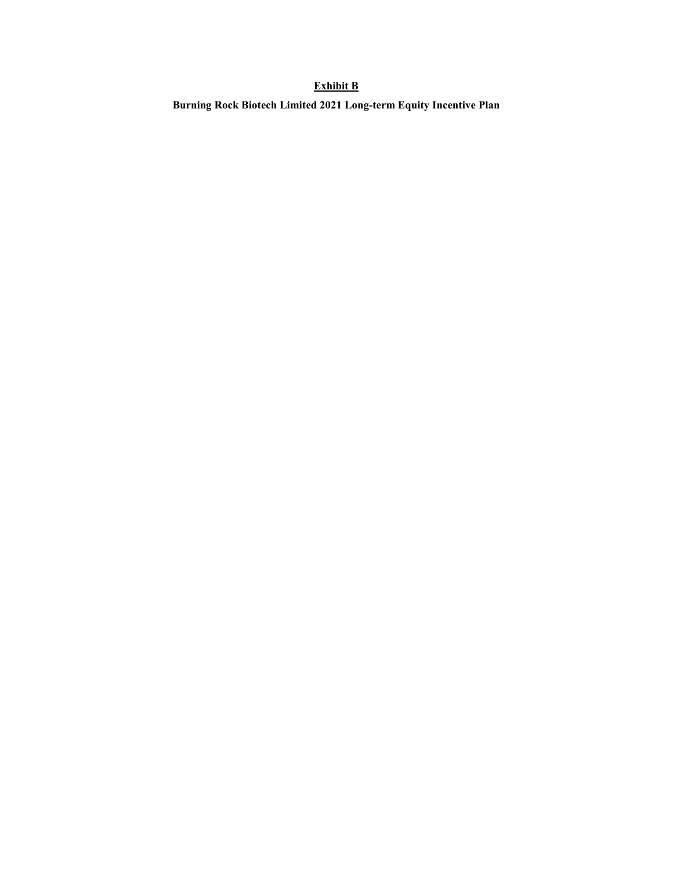# **Exhibit B**

**Burning Rock Biotech Limited 2021 Long-term Equity Incentive Plan**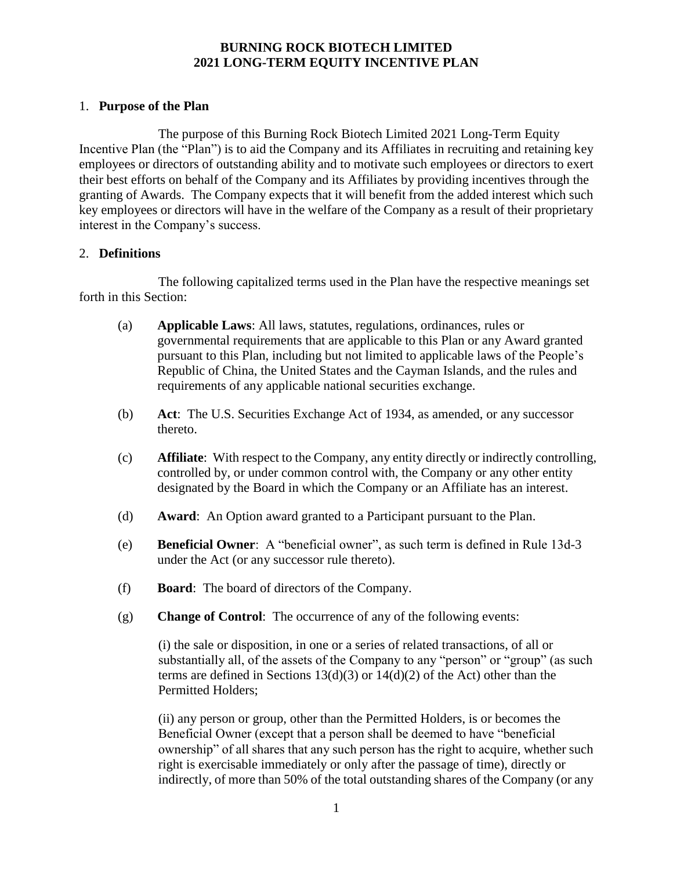# **BURNING ROCK BIOTECH LIMITED 2021 LONG-TERM EQUITY INCENTIVE PLAN**

# 1. **Purpose of the Plan**

The purpose of this Burning Rock Biotech Limited 2021 Long-Term Equity Incentive Plan (the "Plan") is to aid the Company and its Affiliates in recruiting and retaining key employees or directors of outstanding ability and to motivate such employees or directors to exert their best efforts on behalf of the Company and its Affiliates by providing incentives through the granting of Awards. The Company expects that it will benefit from the added interest which such key employees or directors will have in the welfare of the Company as a result of their proprietary interest in the Company's success.

## 2. **Definitions**

The following capitalized terms used in the Plan have the respective meanings set forth in this Section:

- (a) **Applicable Laws**: All laws, statutes, regulations, ordinances, rules or governmental requirements that are applicable to this Plan or any Award granted pursuant to this Plan, including but not limited to applicable laws of the People's Republic of China, the United States and the Cayman Islands, and the rules and requirements of any applicable national securities exchange.
- (b) **Act**: The U.S. Securities Exchange Act of 1934, as amended, or any successor thereto.
- (c) **Affiliate**: With respect to the Company, any entity directly or indirectly controlling, controlled by, or under common control with, the Company or any other entity designated by the Board in which the Company or an Affiliate has an interest.
- (d) **Award**: An Option award granted to a Participant pursuant to the Plan.
- (e) **Beneficial Owner**: A "beneficial owner", as such term is defined in Rule 13d-3 under the Act (or any successor rule thereto).
- (f) **Board**: The board of directors of the Company.
- (g) **Change of Control**: The occurrence of any of the following events:

(i) the sale or disposition, in one or a series of related transactions, of all or substantially all, of the assets of the Company to any "person" or "group" (as such terms are defined in Sections  $13(d)(3)$  or  $14(d)(2)$  of the Act) other than the Permitted Holders;

(ii) any person or group, other than the Permitted Holders, is or becomes the Beneficial Owner (except that a person shall be deemed to have "beneficial ownership" of all shares that any such person has the right to acquire, whether such right is exercisable immediately or only after the passage of time), directly or indirectly, of more than 50% of the total outstanding shares of the Company (or any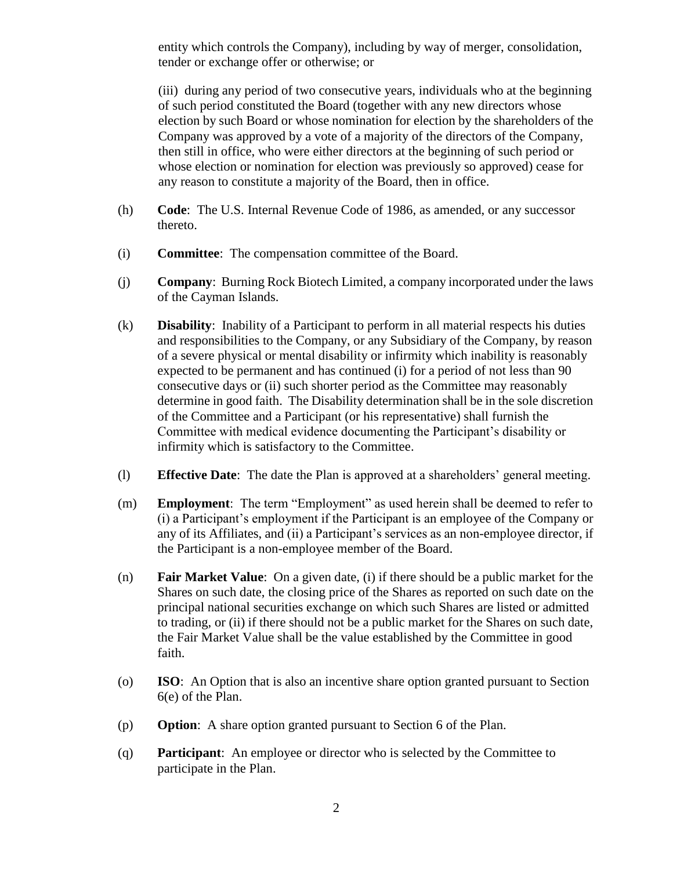entity which controls the Company), including by way of merger, consolidation, tender or exchange offer or otherwise; or

(iii) during any period of two consecutive years, individuals who at the beginning of such period constituted the Board (together with any new directors whose election by such Board or whose nomination for election by the shareholders of the Company was approved by a vote of a majority of the directors of the Company, then still in office, who were either directors at the beginning of such period or whose election or nomination for election was previously so approved) cease for any reason to constitute a majority of the Board, then in office.

- (h) **Code**: The U.S. Internal Revenue Code of 1986, as amended, or any successor thereto.
- (i) **Committee**: The compensation committee of the Board.
- (j) **Company**: Burning Rock Biotech Limited, a company incorporated under the laws of the Cayman Islands.
- (k) **Disability**: Inability of a Participant to perform in all material respects his duties and responsibilities to the Company, or any Subsidiary of the Company, by reason of a severe physical or mental disability or infirmity which inability is reasonably expected to be permanent and has continued (i) for a period of not less than 90 consecutive days or (ii) such shorter period as the Committee may reasonably determine in good faith. The Disability determination shall be in the sole discretion of the Committee and a Participant (or his representative) shall furnish the Committee with medical evidence documenting the Participant's disability or infirmity which is satisfactory to the Committee.
- (l) **Effective Date**: The date the Plan is approved at a shareholders' general meeting.
- (m) **Employment**: The term "Employment" as used herein shall be deemed to refer to (i) a Participant's employment if the Participant is an employee of the Company or any of its Affiliates, and (ii) a Participant's services as an non-employee director, if the Participant is a non-employee member of the Board.
- (n) **Fair Market Value**: On a given date, (i) if there should be a public market for the Shares on such date, the closing price of the Shares as reported on such date on the principal national securities exchange on which such Shares are listed or admitted to trading, or (ii) if there should not be a public market for the Shares on such date, the Fair Market Value shall be the value established by the Committee in good faith.
- (o) **ISO**: An Option that is also an incentive share option granted pursuant to Section 6(e) of the Plan.
- (p) **Option**: A share option granted pursuant to Section 6 of the Plan.
- (q) **Participant**: An employee or director who is selected by the Committee to participate in the Plan.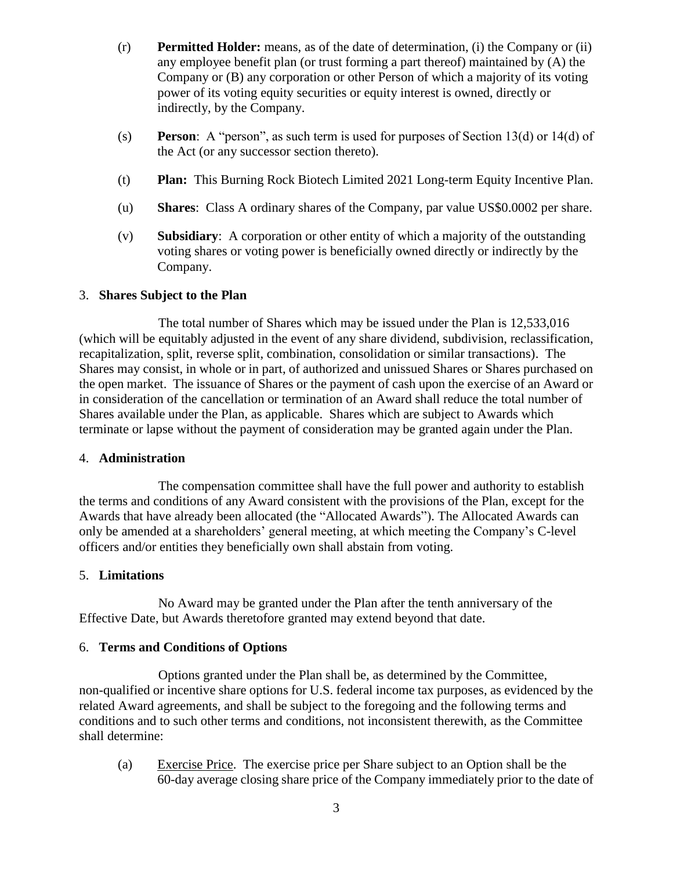- (r) **Permitted Holder:** means, as of the date of determination, (i) the Company or (ii) any employee benefit plan (or trust forming a part thereof) maintained by (A) the Company or (B) any corporation or other Person of which a majority of its voting power of its voting equity securities or equity interest is owned, directly or indirectly, by the Company.
- (s) **Person**: A "person", as such term is used for purposes of Section 13(d) or 14(d) of the Act (or any successor section thereto).
- (t) **Plan:** This Burning Rock Biotech Limited 2021 Long-term Equity Incentive Plan.
- (u) **Shares**: Class A ordinary shares of the Company, par value US\$0.0002 per share.
- (v) **Subsidiary**: A corporation or other entity of which a majority of the outstanding voting shares or voting power is beneficially owned directly or indirectly by the Company.

## 3. **Shares Subject to the Plan**

The total number of Shares which may be issued under the Plan is 12,533,016 (which will be equitably adjusted in the event of any share dividend, subdivision, reclassification, recapitalization, split, reverse split, combination, consolidation or similar transactions). The Shares may consist, in whole or in part, of authorized and unissued Shares or Shares purchased on the open market. The issuance of Shares or the payment of cash upon the exercise of an Award or in consideration of the cancellation or termination of an Award shall reduce the total number of Shares available under the Plan, as applicable. Shares which are subject to Awards which terminate or lapse without the payment of consideration may be granted again under the Plan.

#### 4. **Administration**

The compensation committee shall have the full power and authority to establish the terms and conditions of any Award consistent with the provisions of the Plan, except for the Awards that have already been allocated (the "Allocated Awards"). The Allocated Awards can only be amended at a shareholders' general meeting, at which meeting the Company's C-level officers and/or entities they beneficially own shall abstain from voting.

## 5. **Limitations**

No Award may be granted under the Plan after the tenth anniversary of the Effective Date, but Awards theretofore granted may extend beyond that date.

## 6. **Terms and Conditions of Options**

Options granted under the Plan shall be, as determined by the Committee, non-qualified or incentive share options for U.S. federal income tax purposes, as evidenced by the related Award agreements, and shall be subject to the foregoing and the following terms and conditions and to such other terms and conditions, not inconsistent therewith, as the Committee shall determine:

(a) Exercise Price. The exercise price per Share subject to an Option shall be the 60-day average closing share price of the Company immediately prior to the date of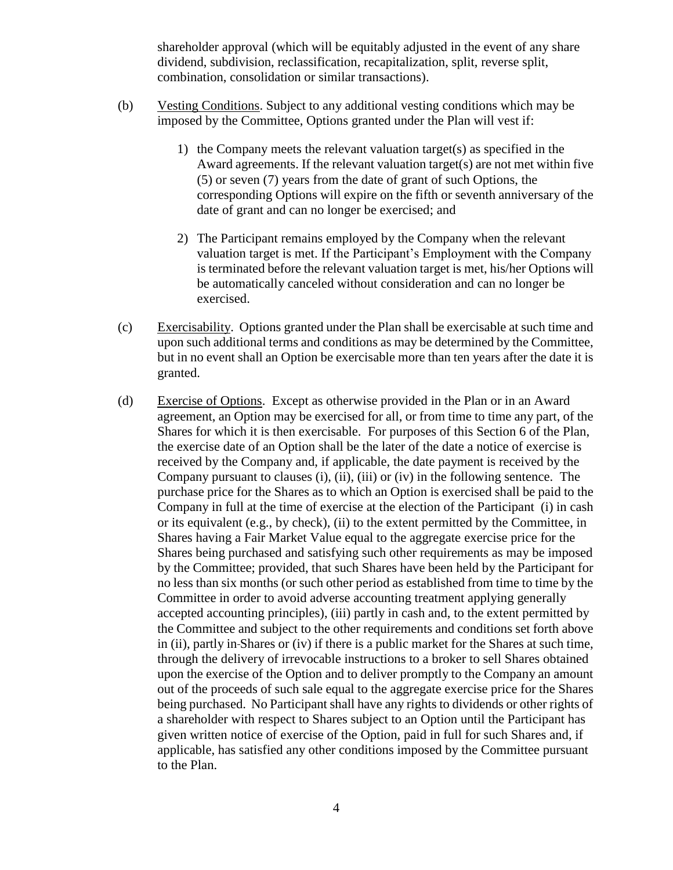shareholder approval (which will be equitably adjusted in the event of any share dividend, subdivision, reclassification, recapitalization, split, reverse split, combination, consolidation or similar transactions).

- (b) Vesting Conditions. Subject to any additional vesting conditions which may be imposed by the Committee, Options granted under the Plan will vest if:
	- 1) the Company meets the relevant valuation target(s) as specified in the Award agreements. If the relevant valuation target(s) are not met within five (5) or seven (7) years from the date of grant of such Options, the corresponding Options will expire on the fifth or seventh anniversary of the date of grant and can no longer be exercised; and
	- 2) The Participant remains employed by the Company when the relevant valuation target is met. If the Participant's Employment with the Company is terminated before the relevant valuation target is met, his/her Options will be automatically canceled without consideration and can no longer be exercised.
- (c) Exercisability. Options granted under the Plan shall be exercisable at such time and upon such additional terms and conditions as may be determined by the Committee, but in no event shall an Option be exercisable more than ten years after the date it is granted.
- (d) Exercise of Options. Except as otherwise provided in the Plan or in an Award agreement, an Option may be exercised for all, or from time to time any part, of the Shares for which it is then exercisable. For purposes of this Section 6 of the Plan, the exercise date of an Option shall be the later of the date a notice of exercise is received by the Company and, if applicable, the date payment is received by the Company pursuant to clauses (i), (ii), (iii) or (iv) in the following sentence. The purchase price for the Shares as to which an Option is exercised shall be paid to the Company in full at the time of exercise at the election of the Participant (i) in cash or its equivalent (e.g., by check), (ii) to the extent permitted by the Committee, in Shares having a Fair Market Value equal to the aggregate exercise price for the Shares being purchased and satisfying such other requirements as may be imposed by the Committee; provided, that such Shares have been held by the Participant for no less than six months (or such other period as established from time to time by the Committee in order to avoid adverse accounting treatment applying generally accepted accounting principles), (iii) partly in cash and, to the extent permitted by the Committee and subject to the other requirements and conditions set forth above in (ii), partly in Shares or (iv) if there is a public market for the Shares at such time, through the delivery of irrevocable instructions to a broker to sell Shares obtained upon the exercise of the Option and to deliver promptly to the Company an amount out of the proceeds of such sale equal to the aggregate exercise price for the Shares being purchased. No Participant shall have any rights to dividends or other rights of a shareholder with respect to Shares subject to an Option until the Participant has given written notice of exercise of the Option, paid in full for such Shares and, if applicable, has satisfied any other conditions imposed by the Committee pursuant to the Plan.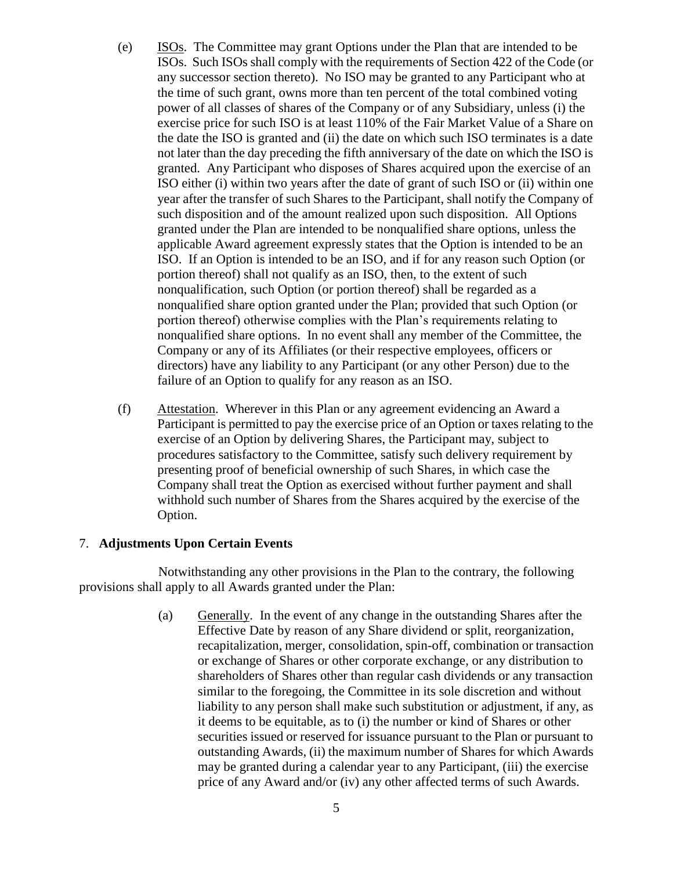- (e) ISOs. The Committee may grant Options under the Plan that are intended to be ISOs. Such ISOs shall comply with the requirements of Section 422 of the Code (or any successor section thereto). No ISO may be granted to any Participant who at the time of such grant, owns more than ten percent of the total combined voting power of all classes of shares of the Company or of any Subsidiary, unless (i) the exercise price for such ISO is at least 110% of the Fair Market Value of a Share on the date the ISO is granted and (ii) the date on which such ISO terminates is a date not later than the day preceding the fifth anniversary of the date on which the ISO is granted. Any Participant who disposes of Shares acquired upon the exercise of an ISO either (i) within two years after the date of grant of such ISO or (ii) within one year after the transfer of such Shares to the Participant, shall notify the Company of such disposition and of the amount realized upon such disposition. All Options granted under the Plan are intended to be nonqualified share options, unless the applicable Award agreement expressly states that the Option is intended to be an ISO. If an Option is intended to be an ISO, and if for any reason such Option (or portion thereof) shall not qualify as an ISO, then, to the extent of such nonqualification, such Option (or portion thereof) shall be regarded as a nonqualified share option granted under the Plan; provided that such Option (or portion thereof) otherwise complies with the Plan's requirements relating to nonqualified share options. In no event shall any member of the Committee, the Company or any of its Affiliates (or their respective employees, officers or directors) have any liability to any Participant (or any other Person) due to the failure of an Option to qualify for any reason as an ISO.
- (f) Attestation. Wherever in this Plan or any agreement evidencing an Award a Participant is permitted to pay the exercise price of an Option or taxes relating to the exercise of an Option by delivering Shares, the Participant may, subject to procedures satisfactory to the Committee, satisfy such delivery requirement by presenting proof of beneficial ownership of such Shares, in which case the Company shall treat the Option as exercised without further payment and shall withhold such number of Shares from the Shares acquired by the exercise of the Option.

# 7. **Adjustments Upon Certain Events**

Notwithstanding any other provisions in the Plan to the contrary, the following provisions shall apply to all Awards granted under the Plan:

> (a) Generally. In the event of any change in the outstanding Shares after the Effective Date by reason of any Share dividend or split, reorganization, recapitalization, merger, consolidation, spin-off, combination or transaction or exchange of Shares or other corporate exchange, or any distribution to shareholders of Shares other than regular cash dividends or any transaction similar to the foregoing, the Committee in its sole discretion and without liability to any person shall make such substitution or adjustment, if any, as it deems to be equitable, as to (i) the number or kind of Shares or other securities issued or reserved for issuance pursuant to the Plan or pursuant to outstanding Awards, (ii) the maximum number of Shares for which Awards may be granted during a calendar year to any Participant, (iii) the exercise price of any Award and/or (iv) any other affected terms of such Awards.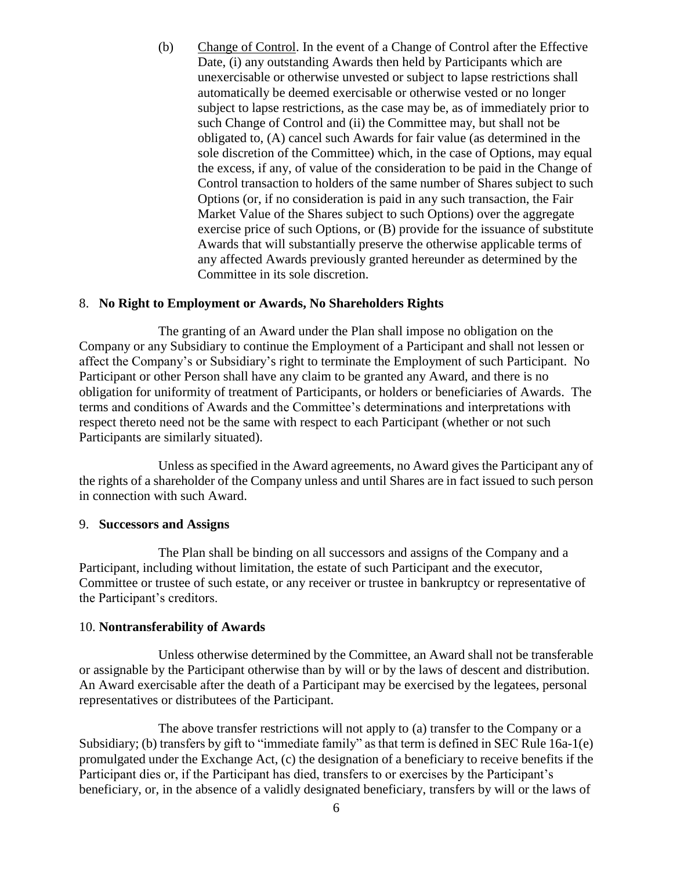(b) Change of Control. In the event of a Change of Control after the Effective Date, (i) any outstanding Awards then held by Participants which are unexercisable or otherwise unvested or subject to lapse restrictions shall automatically be deemed exercisable or otherwise vested or no longer subject to lapse restrictions, as the case may be, as of immediately prior to such Change of Control and (ii) the Committee may, but shall not be obligated to, (A) cancel such Awards for fair value (as determined in the sole discretion of the Committee) which, in the case of Options, may equal the excess, if any, of value of the consideration to be paid in the Change of Control transaction to holders of the same number of Shares subject to such Options (or, if no consideration is paid in any such transaction, the Fair Market Value of the Shares subject to such Options) over the aggregate exercise price of such Options, or (B) provide for the issuance of substitute Awards that will substantially preserve the otherwise applicable terms of any affected Awards previously granted hereunder as determined by the Committee in its sole discretion.

#### 8. **No Right to Employment or Awards, No Shareholders Rights**

The granting of an Award under the Plan shall impose no obligation on the Company or any Subsidiary to continue the Employment of a Participant and shall not lessen or affect the Company's or Subsidiary's right to terminate the Employment of such Participant. No Participant or other Person shall have any claim to be granted any Award, and there is no obligation for uniformity of treatment of Participants, or holders or beneficiaries of Awards. The terms and conditions of Awards and the Committee's determinations and interpretations with respect thereto need not be the same with respect to each Participant (whether or not such Participants are similarly situated).

Unless as specified in the Award agreements, no Award gives the Participant any of the rights of a shareholder of the Company unless and until Shares are in fact issued to such person in connection with such Award.

#### 9. **Successors and Assigns**

The Plan shall be binding on all successors and assigns of the Company and a Participant, including without limitation, the estate of such Participant and the executor, Committee or trustee of such estate, or any receiver or trustee in bankruptcy or representative of the Participant's creditors.

#### 10. **Nontransferability of Awards**

Unless otherwise determined by the Committee, an Award shall not be transferable or assignable by the Participant otherwise than by will or by the laws of descent and distribution. An Award exercisable after the death of a Participant may be exercised by the legatees, personal representatives or distributees of the Participant.

The above transfer restrictions will not apply to (a) transfer to the Company or a Subsidiary; (b) transfers by gift to "immediate family" as that term is defined in SEC Rule 16a-1(e) promulgated under the Exchange Act, (c) the designation of a beneficiary to receive benefits if the Participant dies or, if the Participant has died, transfers to or exercises by the Participant's beneficiary, or, in the absence of a validly designated beneficiary, transfers by will or the laws of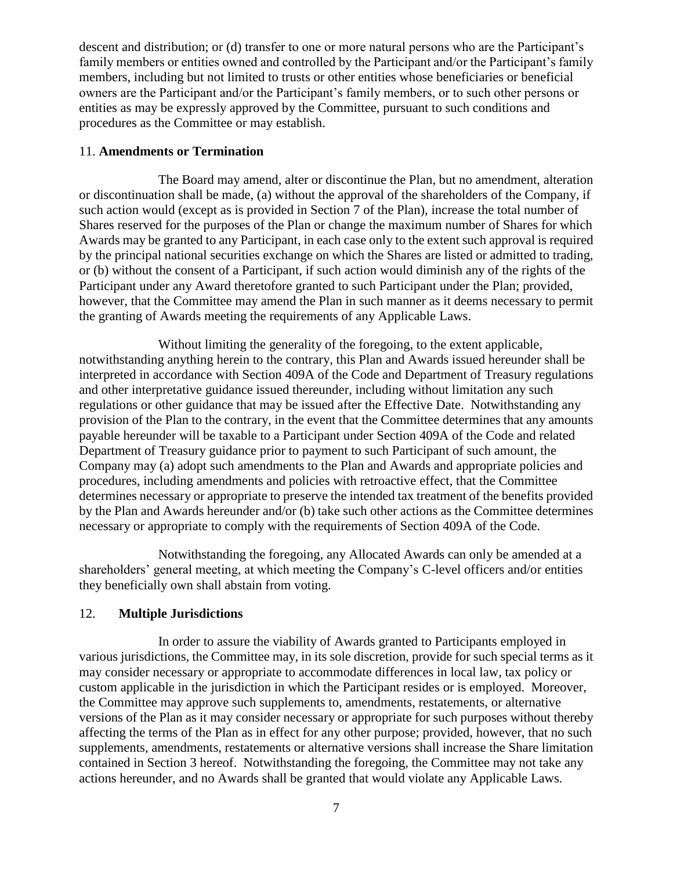descent and distribution; or (d) transfer to one or more natural persons who are the Participant's family members or entities owned and controlled by the Participant and/or the Participant's family members, including but not limited to trusts or other entities whose beneficiaries or beneficial owners are the Participant and/or the Participant's family members, or to such other persons or entities as may be expressly approved by the Committee, pursuant to such conditions and procedures as the Committee or may establish.

## 11. **Amendments or Termination**

The Board may amend, alter or discontinue the Plan, but no amendment, alteration or discontinuation shall be made, (a) without the approval of the shareholders of the Company, if such action would (except as is provided in Section 7 of the Plan), increase the total number of Shares reserved for the purposes of the Plan or change the maximum number of Shares for which Awards may be granted to any Participant, in each case only to the extent such approval is required by the principal national securities exchange on which the Shares are listed or admitted to trading, or (b) without the consent of a Participant, if such action would diminish any of the rights of the Participant under any Award theretofore granted to such Participant under the Plan; provided, however, that the Committee may amend the Plan in such manner as it deems necessary to permit the granting of Awards meeting the requirements of any Applicable Laws.

Without limiting the generality of the foregoing, to the extent applicable, notwithstanding anything herein to the contrary, this Plan and Awards issued hereunder shall be interpreted in accordance with Section 409A of the Code and Department of Treasury regulations and other interpretative guidance issued thereunder, including without limitation any such regulations or other guidance that may be issued after the Effective Date. Notwithstanding any provision of the Plan to the contrary, in the event that the Committee determines that any amounts payable hereunder will be taxable to a Participant under Section 409A of the Code and related Department of Treasury guidance prior to payment to such Participant of such amount, the Company may (a) adopt such amendments to the Plan and Awards and appropriate policies and procedures, including amendments and policies with retroactive effect, that the Committee determines necessary or appropriate to preserve the intended tax treatment of the benefits provided by the Plan and Awards hereunder and/or (b) take such other actions as the Committee determines necessary or appropriate to comply with the requirements of Section 409A of the Code.

Notwithstanding the foregoing, any Allocated Awards can only be amended at a shareholders' general meeting, at which meeting the Company's C-level officers and/or entities they beneficially own shall abstain from voting.

## 12. **Multiple Jurisdictions**

In order to assure the viability of Awards granted to Participants employed in various jurisdictions, the Committee may, in its sole discretion, provide for such special terms as it may consider necessary or appropriate to accommodate differences in local law, tax policy or custom applicable in the jurisdiction in which the Participant resides or is employed. Moreover, the Committee may approve such supplements to, amendments, restatements, or alternative versions of the Plan as it may consider necessary or appropriate for such purposes without thereby affecting the terms of the Plan as in effect for any other purpose; provided, however, that no such supplements, amendments, restatements or alternative versions shall increase the Share limitation contained in Section 3 hereof. Notwithstanding the foregoing, the Committee may not take any actions hereunder, and no Awards shall be granted that would violate any Applicable Laws.